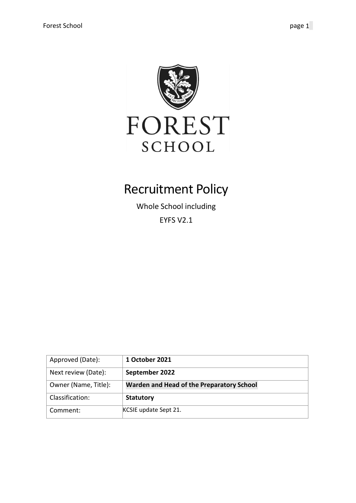

# Recruitment Policy

Whole School including EYFS V2.1

| Approved (Date):     | 1 October 2021                            |
|----------------------|-------------------------------------------|
| Next review (Date):  | September 2022                            |
| Owner (Name, Title): | Warden and Head of the Preparatory School |
| Classification:      | <b>Statutory</b>                          |
| Comment:             | KCSIE update Sept 21.                     |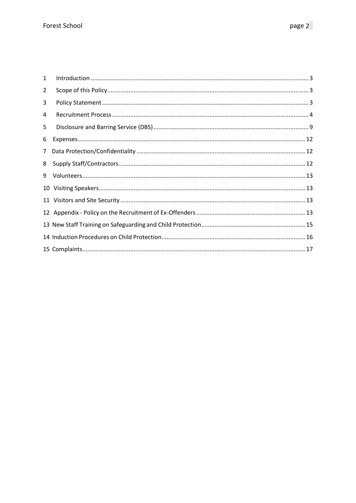| 1              |  |
|----------------|--|
| $\overline{2}$ |  |
| 3              |  |
| 4              |  |
| 5              |  |
| 6              |  |
| $\overline{7}$ |  |
| 8              |  |
| 9              |  |
| 10             |  |
|                |  |
|                |  |
|                |  |
|                |  |
|                |  |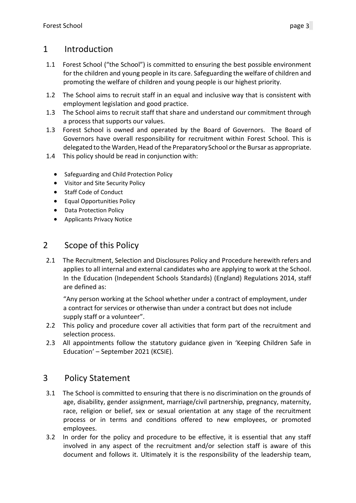### <span id="page-2-0"></span>1 Introduction

- 1.1 Forest School ("the School") is committed to ensuring the best possible environment for the children and young people in its care. Safeguarding the welfare of children and promoting the welfare of children and young people is our highest priority.
- 1.2 The School aims to recruit staff in an equal and inclusive way that is consistent with employment legislation and good practice.
- 1.3 The School aims to recruit staff that share and understand our commitment through a process that supports our values.
- 1.3 Forest School is owned and operated by the Board of Governors. The Board of Governors have overall responsibility for recruitment within Forest School. This is delegated to the Warden, Head of the Preparatory School or the Bursar as appropriate.
- 1.4 This policy should be read in conjunction with:
	- Safeguarding and Child Protection Policy
	- Visitor and Site Security Policy
	- Staff Code of Conduct
	- Equal Opportunities Policy
	- Data Protection Policy
	- Applicants Privacy Notice

### <span id="page-2-1"></span>2 Scope of this Policy

2.1 The Recruitment, Selection and Disclosures Policy and Procedure herewith refers and applies to all internal and external candidates who are applying to work at the School. In the Education (Independent Schools Standards) (England) Regulations 2014, staff are defined as:

"Any person working at the School whether under a contract of employment, under a contract for services or otherwise than under a contract but does not include supply staff or a volunteer".

- 2.2 This policy and procedure cover all activities that form part of the recruitment and selection process.
- 2.3 All appointments follow the statutory guidance given in 'Keeping Children Safe in Education' – September 2021 (KCSIE).

### <span id="page-2-2"></span>3 Policy Statement

- 3.1 The School is committed to ensuring that there is no discrimination on the grounds of age, disability, gender assignment, marriage/civil partnership, pregnancy, maternity, race, religion or belief, sex or sexual orientation at any stage of the recruitment process or in terms and conditions offered to new employees, or promoted employees.
- 3.2 In order for the policy and procedure to be effective, it is essential that any staff involved in any aspect of the recruitment and/or selection staff is aware of this document and follows it. Ultimately it is the responsibility of the leadership team,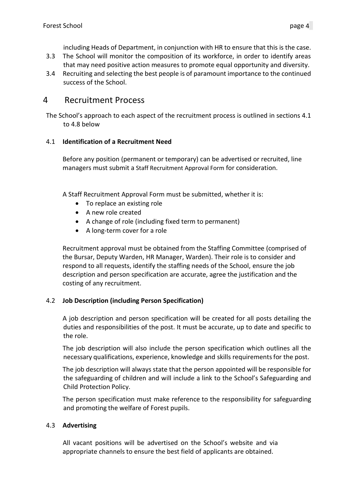including Heads of Department, in conjunction with HR to ensure that this is the case.

- 3.3 The School will monitor the composition of its workforce, in order to identify areas that may need positive action measures to promote equal opportunity and diversity.
- 3.4 Recruiting and selecting the best people is of paramount importance to the continued success of the School.

### <span id="page-3-0"></span>4 Recruitment Process

The School's approach to each aspect of the recruitment process is outlined in sections 4.1 to 4.8 below

#### 4.1 **Identification of a Recruitment Need**

Before any position (permanent or temporary) can be advertised or recruited, line managers must submit a Staff Recruitment Approval Form for consideration.

A Staff Recruitment Approval Form must be submitted, whether it is:

- To replace an existing role
- A new role created
- A change of role (including fixed term to permanent)
- A long-term cover for a role

Recruitment approval must be obtained from the Staffing Committee (comprised of the Bursar, Deputy Warden, HR Manager, Warden). Their role is to consider and respond to all requests, identify the staffing needs of the School, ensure the job description and person specification are accurate, agree the justification and the costing of any recruitment.

#### 4.2 **Job Description (including Person Specification)**

A job description and person specification will be created for all posts detailing the duties and responsibilities of the post. It must be accurate, up to date and specific to the role.

The job description will also include the person specification which outlines all the necessary qualifications, experience, knowledge and skills requirementsfor the post.

The job description will always state that the person appointed will be responsible for the safeguarding of children and will include a link to the School's Safeguarding and Child Protection Policy.

The person specification must make reference to the responsibility for safeguarding and promoting the welfare of Forest pupils.

#### 4.3 **Advertising**

All vacant positions will be advertised on the School's website and via appropriate channels to ensure the best field of applicants are obtained.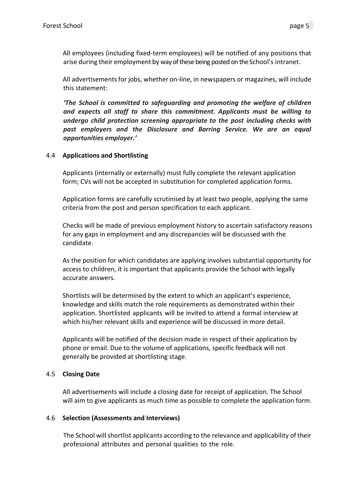All employees (including fixed-term employees) will be notified of any positions that arise during their employment by way of these being posted on the School's intranet.

All advertisementsfor jobs, whether on-line, in newspapers or magazines, will include this statement:

*'The School is committed to safeguarding and promoting the welfare of children and expects all staff to share this commitment. Applicants must be willing to undergo child protection screening appropriate to the post including checks with past employers and the Disclosure and Barring Service. We are an equal opportunities employer.'*

#### 4.4 **Applications and Shortlisting**

Applicants (internally or externally) must fully complete the relevant application form; CVs will not be accepted in substitution for completed application forms.

Application forms are carefully scrutinised by at least two people, applying the same criteria from the post and person specification to each applicant.

Checks will be made of previous employment history to ascertain satisfactory reasons for any gaps in employment and any discrepancies will be discussed with the candidate.

As the position for which candidates are applying involves substantial opportunity for access to children, it is important that applicants provide the School with legally accurate answers.

Shortlists will be determined by the extent to which an applicant's experience, knowledge and skills match the role requirements as demonstrated within their application. Shortlisted applicants will be invited to attend a formal interview at which his/her relevant skills and experience will be discussed in more detail.

Applicants will be notified of the decision made in respect of their application by phone or email. Due to the volume of applications, specific feedback will not generally be provided at shortlisting stage.

#### 4.5 **Closing Date**

All advertisements will include a closing date for receipt of application. The School will aim to give applicants as much time as possible to complete the application form.

#### 4.6 **Selection (Assessments and Interviews)**

The School willshortlist applicants according to the relevance and applicability of their professional attributes and personal qualities to the role.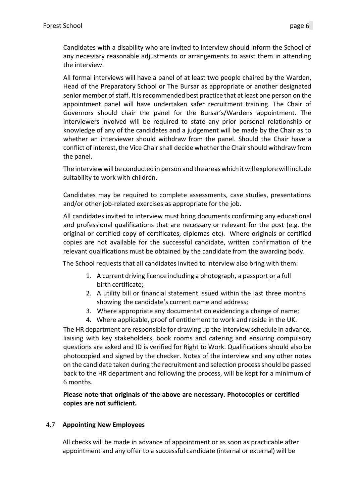Candidates with a disability who are invited to interview should inform the School of any necessary reasonable adjustments or arrangements to assist them in attending the interview.

All formal interviews will have a panel of at least two people chaired by the Warden, Head of the Preparatory School or The Bursar as appropriate or another designated senior member of staff. It is recommended best practice that at least one person on the appointment panel will have undertaken safer recruitment training. The Chair of Governors should chair the panel for the Bursar's/Wardens appointment. The interviewers involved will be required to state any prior personal relationship or knowledge of any of the candidates and a judgement will be made by the Chair as to whether an interviewer should withdraw from the panel. Should the Chair have a conflict of interest, the Vice Chair shall decide whether the Chair should withdraw from the panel.

The interview will be conducted in person and the areas which it will explore will include suitability to work with children.

Candidates may be required to complete assessments, case studies, presentations and/or other job-related exercises as appropriate for the job.

All candidates invited to interview must bring documents confirming any educational and professional qualifications that are necessary or relevant for the post (e.g. the original or certified copy of certificates, diplomas etc). Where originals or certified copies are not available for the successful candidate, written confirmation of the relevant qualifications must be obtained by the candidate from the awarding body.

The School requests that all candidates invited to interview also bring with them:

- 1. A current driving licence including a photograph, a passport or a full birth certificate;
- 2. A utility bill or financial statement issued within the last three months showing the candidate's current name and address;
- 3. Where appropriate any documentation evidencing a change of name;
- 4. Where applicable, proof of entitlement to work and reside in the UK.

The HR department are responsible for drawing up the interview schedule in advance, liaising with key stakeholders, book rooms and catering and ensuring compulsory questions are asked and ID is verified for Right to Work. Qualifications should also be photocopied and signed by the checker. Notes of the interview and any other notes on the candidate taken during the recruitment and selection process should be passed back to the HR department and following the process, will be kept for a minimum of 6 months.

#### **Please note that originals of the above are necessary. Photocopies or certified copies are not sufficient.**

#### 4.7 **Appointing New Employees**

All checks will be made in advance of appointment or as soon as practicable after appointment and any offer to a successful candidate (internal or external) will be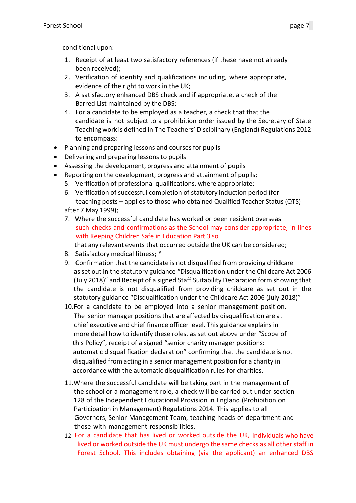conditional upon:

- 1. Receipt of at least two satisfactory references (if these have not already been received);
- 2. Verification of identity and qualifications including, where appropriate, evidence of the right to work in the UK;
- 3. A satisfactory enhanced DBS check and if appropriate, a check of the Barred List maintained by the DBS;
- 4. For a candidate to be employed as a teacher, a check that that the candidate is not subject to a prohibition order issued by the Secretary of State Teachingwork is defined in The Teachers' Disciplinary (England) Regulations 2012 to encompass:
- Planning and preparing lessons and courses for pupils
- Delivering and preparing lessons to pupils
- Assessing the development, progress and attainment of pupils
- Reporting on the development, progress and attainment of pupils;
	- 5. Verification of professional qualifications, where appropriate;
	- 6. Verification of successful completion of statutory induction period (for teaching posts – applies to those who obtained Qualified Teacher Status (QTS) after 7 May 1999);
	- 7. Where the successful candidate has worked or been resident overseas such checks and confirmations as the School may consider appropriate, in lines with Keeping Children Safe in Education Part 3 so

that any relevant events that occurred outside the UK can be considered;

- 8. Satisfactory medical fitness; \*
- 9. Confirmation that the candidate is not disqualified from providing childcare asset out in the statutory guidance "Disqualification under the Childcare Act 2006 (July 2018)" and Receipt of a signed Staff Suitability Declaration form showing that the candidate is not disqualified from providing childcare as set out in the statutory guidance "Disqualification under the Childcare Act 2006 (July 2018)"
- 10.For a candidate to be employed into a senior management position. The senior manager positions that are affected by disqualification are at chief executive and chief finance officer level. This guidance explains in more detail how to identify these roles. as set out above under "Scope of this Policy", receipt of a signed "senior charity manager positions: automatic disqualification declaration" confirming that the candidate is not disqualified from acting in a senior management position for a charity in accordance with the automatic disqualification rules for charities.
- 11.Where the successful candidate will be taking part in the management of the school or a management role, a check will be carried out under section 128 of the Independent Educational Provision in England (Prohibition on Participation in Management) Regulations 2014. This applies to all Governors, Senior Management Team, teaching heads of department and those with management responsibilities.
- 12. For a candidate that has lived or worked outside the UK, Individuals who have lived or worked outside the UK must undergo the same checks as all other staff in Forest School. This includes obtaining (via the applicant) an enhanced DBS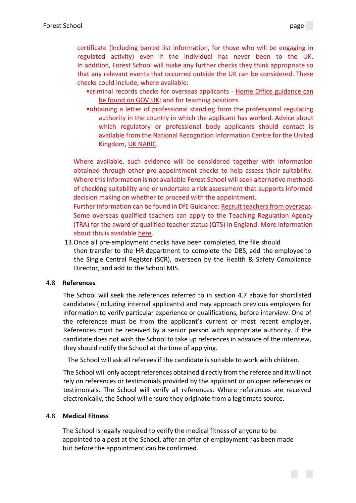certificate (including barred list information, for those who will be engaging in regulated activity) even if the individual has never been to the UK. In addition, Forest School will make any further checks they think appropriate so that any relevant events that occurred outside the UK can be considered. These checks could include, where available:

- •criminal records checks for overseas applicants [Home Office guidance can](https://www.gov.uk/government/publications/criminal-records-checks-for-overseas-applicants)  [be found on GOV.UK;](https://www.gov.uk/government/publications/criminal-records-checks-for-overseas-applicants) and for teaching positions
- •obtaining a letter of professional standing from the professional regulating authority in the country in which the applicant has worked. Advice about which regulatory or professional body applicants should contact is available from the National Recognition Information Centre for the United Kingdom, [UK NARIC.](https://www.naric.org.uk/)

Where available, such evidence will be considered together with information obtained through other pre-appointment checks to help assess their suitability. Where this information is not available Forest School will seek alternative methods of checking suitability and or undertake a risk assessment that supports informed decision making on whether to proceed with the appointment.

Further information can be found in DfE Guidance[: Recruit teachers from overseas.](https://www.gov.uk/guidance/recruit-teachers-from-overseas) Some overseas qualified teachers can apply to the Teaching Regulation Agency (TRA) for the award of qualified teacher status (QTS) in England. More information about this is available [here.](https://www.gov.uk/guidance/qualified-teacher-status-qts)

13.Once all pre-employment checks have been completed, the file should then transfer to the HR department to complete the DBS, add the employee to the Single Central Register (SCR), overseen by the Health & Safety Compliance Director, and add to the School MIS.

#### 4.8 **References**

The School will seek the references referred to in section 4.7 above for shortlisted candidates (including internal applicants) and may approach previous employers for information to verify particular experience or qualifications, before interview. One of the references must be from the applicant's current or most recent employer. References must be received by a senior person with appropriate authority. If the candidate does not wish the School to take up referencesin advance of the interview, they should notify the School at the time of applying.

The School will ask all referees if the candidate is suitable to work with children.

The School will only accept references obtained directly from the referee and it will not rely on references or testimonials provided by the applicant or on open references or testimonials. The School will verify all references. Where references are received electronically, the School will ensure they originate from a legitimate source.

#### 4.8 **Medical Fitness**

The School is legally required to verify the medical fitness of anyone to be appointed to a post at the School, after an offer of employment has been made but before the appointment can be confirmed.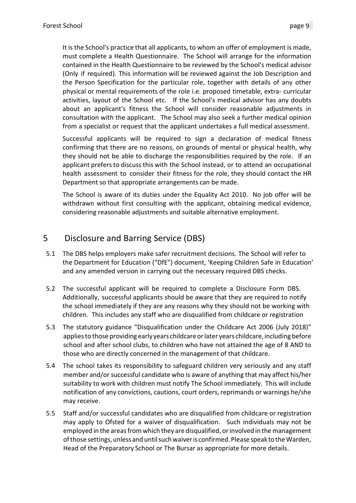It is the School's practice that all applicants, to whom an offer of employment is made, must complete a Health Questionnaire. The School will arrange for the information contained in the Health Questionnaire to be reviewed by the School's medical advisor (Only if required). This information will be reviewed against the Job Description and the Person Specification for the particular role, together with details of any other physical or mental requirements of the role i.e. proposed timetable, extra- curricular activities, layout of the School etc. If the School's medical advisor has any doubts about an applicant's fitness the School will consider reasonable adjustments in consultation with the applicant. The School may also seek a further medical opinion from a specialist or request that the applicant undertakes a full medical assessment.

Successful applicants will be required to sign a declaration of medical fitness confirming that there are no reasons, on grounds of mental or physical health, why they should not be able to discharge the responsibilities required by the role. If an applicant prefers to discuss this with the School instead, or to attend an occupational health assessment to consider their fitness for the role, they should contact the HR Department so that appropriate arrangements can be made.

The School is aware of its duties under the Equality Act 2010. No job offer will be withdrawn without first consulting with the applicant, obtaining medical evidence, considering reasonable adjustments and suitable alternative employment.

### <span id="page-8-0"></span>5 Disclosure and Barring Service (DBS)

- 5.1 The DBS helps employers make safer recruitment decisions. The School will refer to the Department for Education ("DfE") document, 'Keeping Children Safe in Education' and any amended version in carrying out the necessary required DBS checks.
- 5.2 The successful applicant will be required to complete a Disclosure Form DBS. Additionally, successful applicants should be aware that they are required to notify the school immediately if they are any reasons why they should not be working with children. This includes any staff who are disqualified from childcare or registration
- 5.3 The statutory guidance "Disqualification under the Childcare Act 2006 (July 2018)" applies to those providing early years childcare or later years childcare, including before school and after school clubs, to children who have not attained the age of 8 AND to those who are directly concerned in the management of that childcare.
- 5.4 The school takes its responsibility to safeguard children very seriously and any staff member and/or successful candidate who is aware of anything that may affect his/her suitability to work with children must notify The School immediately. This will include notification of any convictions, cautions, court orders, reprimands or warnings he/she may receive.
- 5.5 Staff and/or successful candidates who are disqualified from childcare or registration may apply to Ofsted for a waiver of disqualification. Such individuals may not be employed in the areas from which they are disqualified, or involved in the management of those settings, unless and until such waiver is confirmed. Please speak to the Warden, Head of the Preparatory School or The Bursar as appropriate for more details.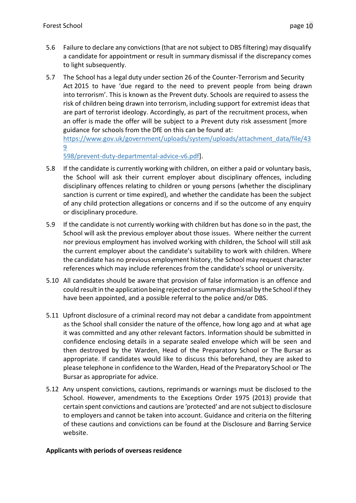- 5.6 Failure to declare any convictions(that are not subject to DBS filtering) may disqualify a candidate for appointment or result in summary dismissal if the discrepancy comes to light subsequently.
- 5.7 The School has a legal duty under section 26 of the Counter-Terrorism and Security Act 2015 to have 'due regard to the need to prevent people from being drawn into terrorism'. This is known as the Prevent duty. Schools are required to assess the risk of children being drawn into terrorism, including support for extremist ideas that are part of terrorist ideology. Accordingly, as part of the recruitment process, when an offer is made the offer will be subject to a Prevent duty risk assessment [more guidance for schools from the DfE on this can be found at:

[https://www.gov.uk/government/uploads/system/uploads/attachment\\_data/file/43](https://www.gov.uk/government/uploads/system/uploads/attachment_data/file/439598/prevent-duty-departmental-advice-v6.pdf) [9](https://www.gov.uk/government/uploads/system/uploads/attachment_data/file/439598/prevent-duty-departmental-advice-v6.pdf)

[598/prevent-duty-departmental-advice-v6.pdf\]](https://www.gov.uk/government/uploads/system/uploads/attachment_data/file/439598/prevent-duty-departmental-advice-v6.pdf).

- 5.8 If the candidate is currently working with children, on either a paid or voluntary basis, the School will ask their current employer about disciplinary offences, including disciplinary offences relating to children or young persons (whether the disciplinary sanction is current or time expired), and whether the candidate has been the subject of any child protection allegations or concerns and if so the outcome of any enquiry or disciplinary procedure.
- 5.9 If the candidate is not currently working with children but has done so in the past, the School will ask the previous employer about those issues. Where neither the current nor previous employment has involved working with children, the School will still ask the current employer about the candidate's suitability to work with children. Where the candidate has no previous employment history, the School may request character references which may include referencesfrom the candidate's school or university.
- 5.10 All candidates should be aware that provision of false information is an offence and could resultin the application being rejected orsummarydismissal by the School ifthey have been appointed, and a possible referral to the police and/or DBS.
- 5.11 Upfront disclosure of a criminal record may not debar a candidate from appointment as the School shall consider the nature of the offence, how long ago and at what age it was committed and any other relevant factors. Information should be submitted in confidence enclosing details in a separate sealed envelope which will be seen and then destroyed by the Warden, Head of the Preparatory School or The Bursar as appropriate. If candidates would like to discuss this beforehand, they are asked to please telephone in confidence to the Warden, Head of the Preparatory School or The Bursar as appropriate for advice.
- 5.12 Any unspent convictions, cautions, reprimands or warnings must be disclosed to the School. However, amendments to the Exceptions Order 1975 (2013) provide that certain spent convictions and cautions are 'protected' and are not subjectto disclosure to employers and cannot be taken into account. Guidance and criteria on the filtering of these cautions and convictions can be found at the Disclosure and Barring Service website.

#### **Applicants with periods of overseas residence**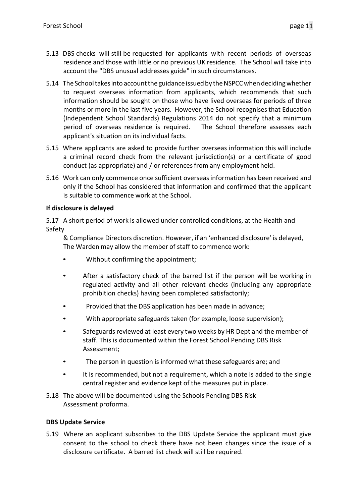- 5.13 DBS checks will still be requested for applicants with recent periods of overseas residence and those with little or no previous UK residence. The School will take into account the "DBS unusual addresses guide" in such circumstances.
- 5.14 The School takes into account the guidance issued by the NSPCC when deciding whether to request overseas information from applicants, which recommends that such information should be sought on those who have lived overseas for periods of three months or more in the last five years. However, the School recognises that Education (Independent School Standards) Regulations 2014 do not specify that a minimum period of overseas residence is required. The School therefore assesses each applicant's situation on its individual facts.
- 5.15 Where applicants are asked to provide further overseas information this will include a criminal record check from the relevant jurisdiction(s) or a certificate of good conduct (as appropriate) and / or references from any employment held.
- 5.16 Work can only commence once sufficient overseasinformation has been received and only if the School has considered that information and confirmed that the applicant is suitable to commence work at the School.

#### **If disclosure is delayed**

5.17 A short period of work is allowed under controlled conditions, at the Health and Safety

& Compliance Directors discretion. However, if an 'enhanced disclosure' is delayed, The Warden may allow the member of staff to commence work:

- Without confirming the appointment;
- After a satisfactory check of the barred list if the person will be working in regulated activity and all other relevant checks (including any appropriate prohibition checks) having been completed satisfactorily;
- Provided that the DBS application has been made in advance;
- With appropriate safeguards taken (for example, loose supervision);
- Safeguards reviewed at least every two weeks by HR Dept and the member of staff. This is documented within the Forest School Pending DBS Risk Assessment;
- The person in question is informed what these safeguards are; and
- It is recommended, but not a requirement, which a note is added to the single central register and evidence kept of the measures put in place.
- 5.18 The above will be documented using the Schools Pending DBS Risk Assessment proforma.

#### **DBS Update Service**

5.19 Where an applicant subscribes to the DBS Update Service the applicant must give consent to the school to check there have not been changes since the issue of a disclosure certificate. A barred list check will still be required.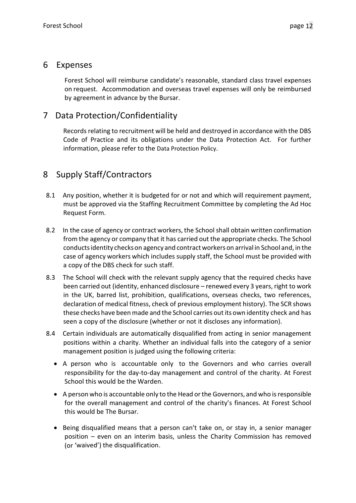### <span id="page-11-0"></span>6 Expenses

Forest School will reimburse candidate's reasonable, standard class travel expenses on request. Accommodation and overseas travel expenses will only be reimbursed by agreement in advance by the Bursar.

# <span id="page-11-1"></span>7 Data Protection/Confidentiality

Records relating to recruitment will be held and destroyed in accordance with the DBS Code of Practice and its obligations under the Data Protection Act. For further information, please refer to the Data Protection Policy.

# <span id="page-11-2"></span>8 Supply Staff/Contractors

- 8.1 Any position, whether it is budgeted for or not and which will requirement payment, must be approved via the Staffing Recruitment Committee by completing the Ad Hoc Request Form.
- 8.2 In the case of agency or contract workers, the School shall obtain written confirmation from the agency or company that it has carried out the appropriate checks. The School conductsidentity checkson agency and contract workerson arrival in School and, in the case of agency workers which includes supply staff, the School must be provided with a copy of the DBS check for such staff.
- 8.3 The School will check with the relevant supply agency that the required checks have been carried out (identity, enhanced disclosure – renewed every 3 years, right to work in the UK, barred list, prohibition, qualifications, overseas checks, two references, declaration of medical fitness, check of previous employment history). The SCR shows these checks have been made and the School carries out its own identity check and has seen a copy of the disclosure (whether or not it discloses any information).
- 8.4 Certain individuals are automatically disqualified from acting in senior management positions within a charity. Whether an individual falls into the category of a senior management position is judged using the following criteria:
	- A person who is accountable only to the Governors and who carries overall responsibility for the day-to-day management and control of the charity. At Forest School this would be the Warden.
	- A person who is accountable only to the Head or the Governors, and who is responsible for the overall management and control of the charity's finances. At Forest School this would be The Bursar.
	- Being disqualified means that a person can't take on, or stay in, a senior manager position – even on an interim basis, unless the Charity Commission has removed (or 'waived') the disqualification.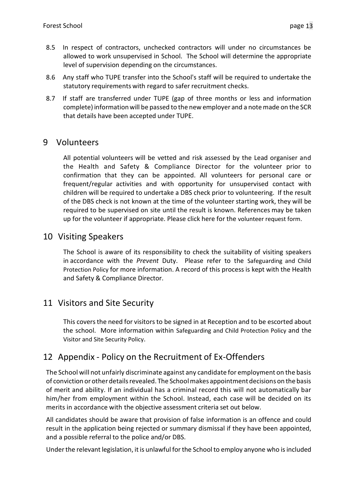- 8.5 In respect of contractors, unchecked contractors will under no circumstances be allowed to work unsupervised in School. The School will determine the appropriate level of supervision depending on the circumstances.
- 8.6 Any staff who TUPE transfer into the School's staff will be required to undertake the statutory requirements with regard to safer recruitment checks.
- 8.7 If staff are transferred under TUPE (gap of three months or less and information complete) information will be passed to the new employer and a note made on the SCR that details have been accepted under TUPE.

### <span id="page-12-0"></span>9 Volunteers

All potential volunteers will be vetted and risk assessed by the Lead organiser and the Health and Safety & Compliance Director for the volunteer prior to confirmation that they can be appointed. All volunteers for personal care or frequent/regular activities and with opportunity for unsupervised contact with children will be required to undertake a DBS check prior to volunteering. If the result of the DBS check is not known at the time of the volunteer starting work, they will be required to be supervised on site until the result is known. References may be taken up for the volunteer if appropriate. Please click here for the volunteer request form.

### <span id="page-12-1"></span>10 Visiting Speakers

The School is aware of its responsibility to check the suitability of visiting speakers in accordance with the *Prevent* Duty. Please refer to the Safeguarding and Child Protection Policy for more information. A record of this process is kept with the Health and Safety & Compliance Director.

### <span id="page-12-2"></span>11 Visitors and Site Security

This covers the need for visitors to be signed in at Reception and to be escorted about the school. More information within Safeguarding and Child Protection Policy and the Visitor and Site Security Policy.

### <span id="page-12-3"></span>12 Appendix - Policy on the Recruitment of Ex-Offenders

The School will not unfairly discriminate against any candidate for employment on the basis of conviction orotherdetailsrevealed. The Schoolmakesappointmentdecisionson the basis of merit and ability. If an individual has a criminal record this will not automatically bar him/her from employment within the School. Instead, each case will be decided on its merits in accordance with the objective assessment criteria set out below.

All candidates should be aware that provision of false information is an offence and could result in the application being rejected or summary dismissal if they have been appointed, and a possible referral to the police and/or DBS.

Under the relevant legislation, it is unlawful for the School to employ anyone who is included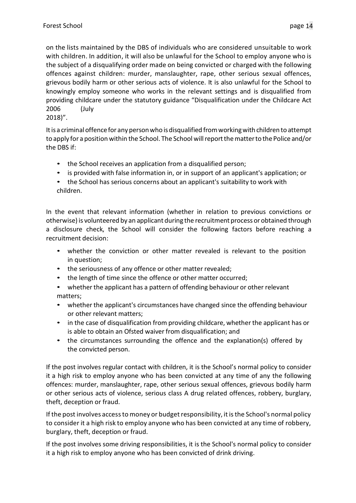on the lists maintained by the DBS of individuals who are considered unsuitable to work with children. In addition, it will also be unlawful for the School to employ anyone who is the subject of a disqualifying order made on being convicted or charged with the following offences against children: murder, manslaughter, rape, other serious sexual offences, grievous bodily harm or other serious acts of violence. It is also unlawful for the School to knowingly employ someone who works in the relevant settings and is disqualified from providing childcare under the statutory guidance "Disqualification under the Childcare Act 2006 (July 2018)".

It is a criminal offence for any person who is disqualified from working with children to attempt to apply for a position within the School. The School willreportthematterto the Police and/or the DBS if:

- the School receives an application from a disqualified person;
- is provided with false information in, or in support of an applicant's application; or
- the School has serious concerns about an applicant's suitability to work with children.

In the event that relevant information (whether in relation to previous convictions or otherwise)is volunteered by an applicant during the recruitmentprocess or obtained through a disclosure check, the School will consider the following factors before reaching a recruitment decision:

- whether the conviction or other matter revealed is relevant to the position in question;
- the seriousness of any offence or other matter revealed;
- the length of time since the offence or other matter occurred;
- whether the applicant has a pattern of offending behaviour or other relevant matters;
- whether the applicant's circumstances have changed since the offending behaviour or other relevant matters;
- in the case of disqualification from providing childcare, whether the applicant has or is able to obtain an Ofsted waiver from disqualification; and
- the circumstances surrounding the offence and the explanation(s) offered by the convicted person.

If the post involves regular contact with children, it is the School's normal policy to consider it a high risk to employ anyone who has been convicted at any time of any the following offences: murder, manslaughter, rape, other serious sexual offences, grievous bodily harm or other serious acts of violence, serious class A drug related offences, robbery, burglary, theft, deception or fraud.

If the post involves access to money or budget responsibility, it is the School's normal policy to consider it a high risk to employ anyone who has been convicted at any time of robbery, burglary, theft, deception or fraud.

If the post involves some driving responsibilities, it is the School's normal policy to consider it a high risk to employ anyone who has been convicted of drink driving.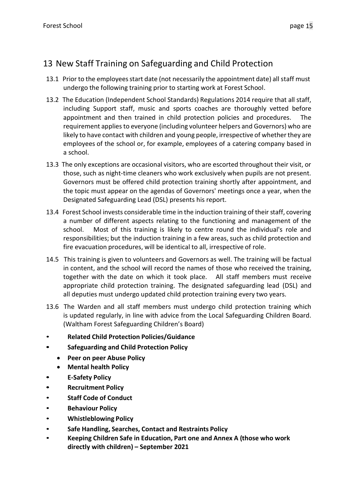# <span id="page-14-0"></span>13 New Staff Training on Safeguarding and Child Protection

- 13.1 Prior to the employeesstart date (not necessarily the appointment date) all staff must undergo the following training prior to starting work at Forest School.
- 13.2 The Education (Independent School Standards) Regulations 2014 require that all staff, including Support staff, music and sports coaches are thoroughly vetted before appointment and then trained in child protection policies and procedures. The requirement applies to everyone (including volunteer helpers and Governors) who are likely to have contact with children and young people, irrespective of whether they are employees of the school or, for example, employees of a catering company based in a school.
- 13.3 The only exceptions are occasional visitors, who are escorted throughout their visit, or those, such as night-time cleaners who work exclusively when pupils are not present. Governors must be offered child protection training shortly after appointment, and the topic must appear on the agendas of Governors' meetings once a year, when the Designated Safeguarding Lead (DSL) presents his report.
- 13.4 Forest School invests considerable time in the induction training of their staff, covering a number of different aspects relating to the functioning and management of the school. Most of this training is likely to centre round the individual's role and responsibilities; but the induction training in a few areas, such as child protection and fire evacuation procedures, will be identical to all, irrespective of role.
- 14.5 This training is given to volunteers and Governors as well. The training will be factual in content, and the school will record the names of those who received the training, together with the date on which it took place. All staff members must receive appropriate child protection training. The designated safeguarding lead (DSL) and all deputies must undergo updated child protection training every two years.
- 13.6 The Warden and all staff members must undergo child protection training which is updated regularly, in line with advice from the Local Safeguarding Children Board. (Waltham Forest Safeguarding Children's Board)
- **Related Child Protection Policies/Guidance**
- **• Safeguarding and Child Protection Policy**
	- **Peer on peer Abuse Policy**
	- **Mental health Policy**
- **• E-Safety Policy**
- **• Recruitment Policy**
- **Staff Code of Conduct**
- **Behaviour Policy**
- **Whistleblowing Policy**
- **Safe Handling, Searches, Contact and Restraints Policy**
- **Keeping Children Safe in Education, Part one and Annex A (those who work directly with children) – September 2021**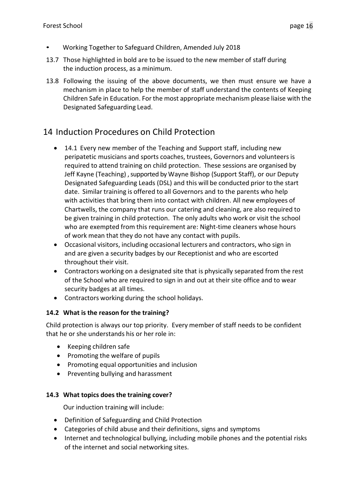- Working Together to Safeguard Children, Amended July 2018
- 13.7 Those highlighted in bold are to be issued to the new member of staff during the induction process, as a minimum.
- 13.8 Following the issuing of the above documents, we then must ensure we have a mechanism in place to help the member of staff understand the contents of Keeping Children Safe in Education. For the most appropriate mechanism please liaise with the Designated Safeguarding Lead.

# <span id="page-15-0"></span>14 Induction Procedures on Child Protection

- 14.1 Every new member of the Teaching and Support staff, including new peripatetic musicians and sports coaches, trustees, Governors and volunteersis required to attend training on child protection. These sessions are organised by Jeff Kayne (Teaching) , supported by Wayne Bishop (Support Staff), or our Deputy Designated Safeguarding Leads (DSL) and this will be conducted prior to the start date. Similar training is offered to all Governors and to the parents who help with activities that bring them into contact with children. All new employees of Chartwells, the company that runs our catering and cleaning, are also required to be given training in child protection. The only adults who work or visit the school who are exempted from this requirement are: Night-time cleaners whose hours of work mean that they do not have any contact with pupils.
- Occasional visitors, including occasional lecturers and contractors, who sign in and are given a security badges by our Receptionist and who are escorted throughout their visit.
- Contractors working on a designated site that is physically separated from the rest of the School who are required to sign in and out at their site office and to wear security badges at all times.
- Contractors working during the school holidays.

### **14.2 What is the reason for the training?**

Child protection is always our top priority. Every member of staff needs to be confident that he or she understands his or her role in:

- Keeping children safe
- Promoting the welfare of pupils
- Promoting equal opportunities and inclusion
- Preventing bullying and harassment

### **14.3 What topics does the training cover?**

Our induction training will include:

- Definition of Safeguarding and Child Protection
- Categories of child abuse and their definitions, signs and symptoms
- Internet and technological bullying, including mobile phones and the potential risks of the internet and social networking sites.